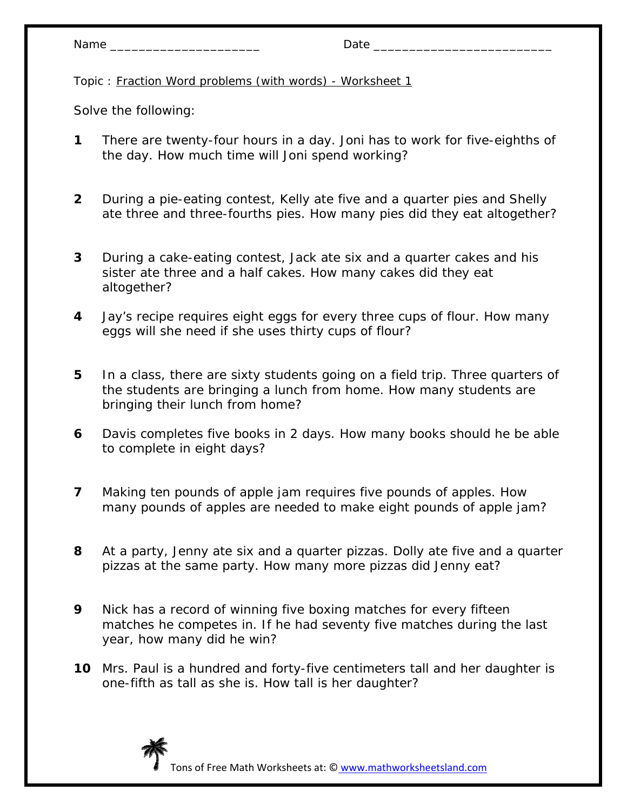- **1** There are twenty-four hours in a day. Joni has to work for five-eighths of the day. How much time will Joni spend working?
- **2** During a pie-eating contest, Kelly ate five and a quarter pies and Shelly ate three and three-fourths pies. How many pies did they eat altogether?
- **3** During a cake-eating contest, Jack ate six and a quarter cakes and his sister ate three and a half cakes. How many cakes did they eat altogether?
- **4** Jay's recipe requires eight eggs for every three cups of flour. How many eggs will she need if she uses thirty cups of flour?
- **5** In a class, there are sixty students going on a field trip. Three quarters of the students are bringing a lunch from home. How many students are bringing their lunch from home?
- **6** Davis completes five books in 2 days. How many books should he be able to complete in eight days?
- **7** Making ten pounds of apple jam requires five pounds of apples. How many pounds of apples are needed to make eight pounds of apple jam?
- **8** At a party, Jenny ate six and a quarter pizzas. Dolly ate five and a quarter pizzas at the same party. How many more pizzas did Jenny eat?
- **9** Nick has a record of winning five boxing matches for every fifteen matches he competes in. If he had seventy five matches during the last year, how many did he win?
- **10** Mrs. Paul is a hundred and forty-five centimeters tall and her daughter is one-fifth as tall as she is. How tall is her daughter?

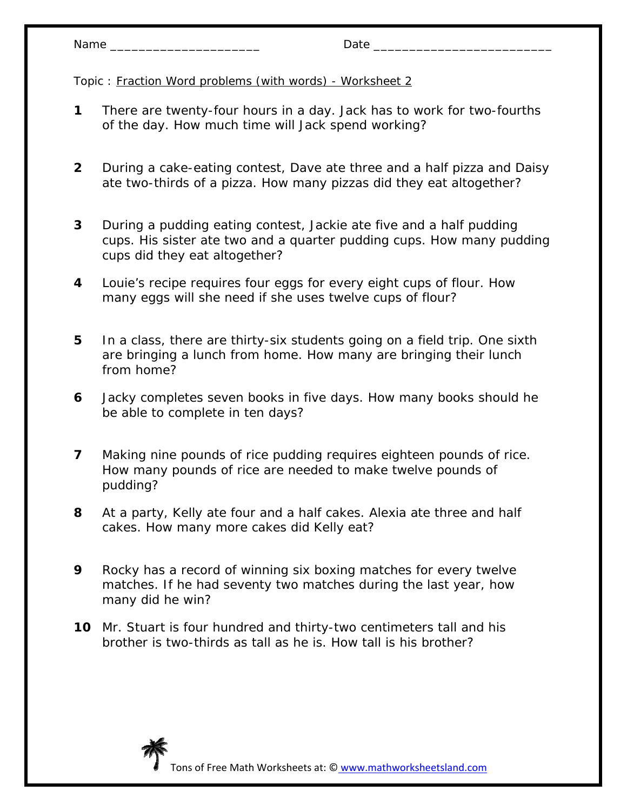| Nam | -<br>$  -$ |
|-----|------------|
|     |            |

- **1** There are twenty-four hours in a day. Jack has to work for two-fourths of the day. How much time will Jack spend working?
- **2** During a cake-eating contest, Dave ate three and a half pizza and Daisy ate two-thirds of a pizza. How many pizzas did they eat altogether?
- **3** During a pudding eating contest, Jackie ate five and a half pudding cups. His sister ate two and a quarter pudding cups. How many pudding cups did they eat altogether?
- **4** Louie's recipe requires four eggs for every eight cups of flour. How many eggs will she need if she uses twelve cups of flour?
- **5** In a class, there are thirty-six students going on a field trip. One sixth are bringing a lunch from home. How many are bringing their lunch from home?
- **6** Jacky completes seven books in five days. How many books should he be able to complete in ten days?
- **7** Making nine pounds of rice pudding requires eighteen pounds of rice. How many pounds of rice are needed to make twelve pounds of pudding?
- **8** At a party, Kelly ate four and a half cakes. Alexia ate three and half cakes. How many more cakes did Kelly eat?
- **9** Rocky has a record of winning six boxing matches for every twelve matches. If he had seventy two matches during the last year, how many did he win?
- **10** Mr. Stuart is four hundred and thirty-two centimeters tall and his brother is two-thirds as tall as he is. How tall is his brother?

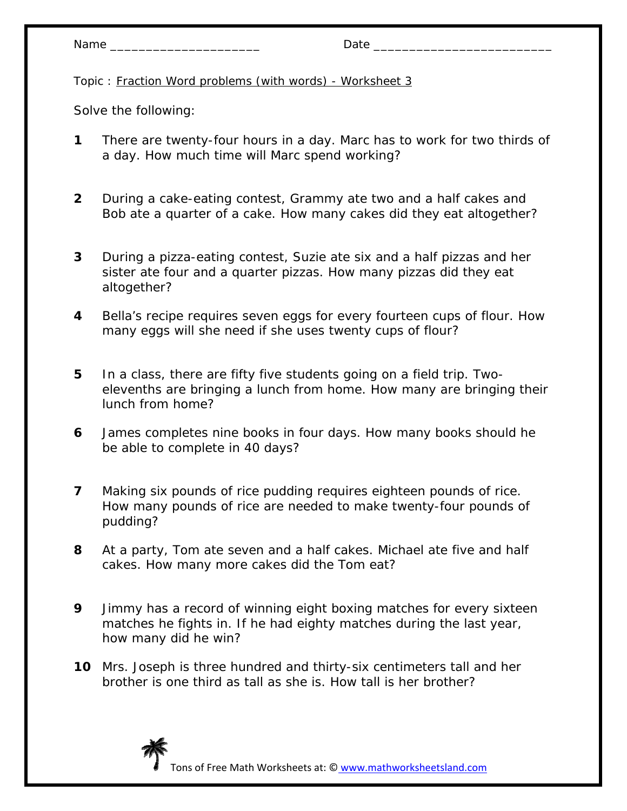- **1** There are twenty-four hours in a day. Marc has to work for two thirds of a day. How much time will Marc spend working?
- **2** During a cake-eating contest, Grammy ate two and a half cakes and Bob ate a quarter of a cake. How many cakes did they eat altogether?
- **3** During a pizza-eating contest, Suzie ate six and a half pizzas and her sister ate four and a quarter pizzas. How many pizzas did they eat altogether?
- **4** Bella's recipe requires seven eggs for every fourteen cups of flour. How many eggs will she need if she uses twenty cups of flour?
- **5** In a class, there are fifty five students going on a field trip. Twoelevenths are bringing a lunch from home. How many are bringing their lunch from home?
- **6** James completes nine books in four days. How many books should he be able to complete in 40 days?
- **7** Making six pounds of rice pudding requires eighteen pounds of rice. How many pounds of rice are needed to make twenty-four pounds of pudding?
- **8** At a party, Tom ate seven and a half cakes. Michael ate five and half cakes. How many more cakes did the Tom eat?
- **9** Jimmy has a record of winning eight boxing matches for every sixteen matches he fights in. If he had eighty matches during the last year, how many did he win?
- **10** Mrs. Joseph is three hundred and thirty-six centimeters tall and her brother is one third as tall as she is. How tall is her brother?

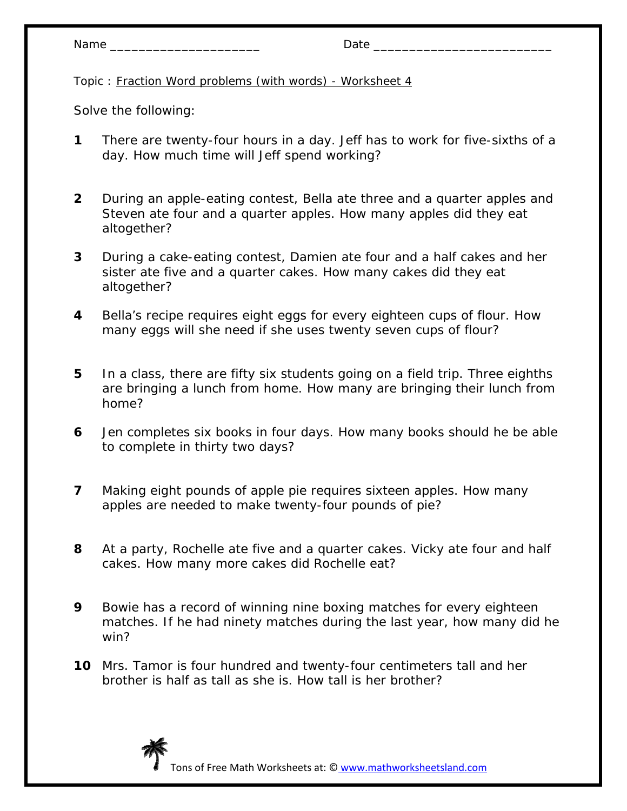- **1** There are twenty-four hours in a day. Jeff has to work for five-sixths of a day. How much time will Jeff spend working?
- **2** During an apple-eating contest, Bella ate three and a quarter apples and Steven ate four and a quarter apples. How many apples did they eat altogether?
- **3** During a cake-eating contest, Damien ate four and a half cakes and her sister ate five and a quarter cakes. How many cakes did they eat altogether?
- **4** Bella's recipe requires eight eggs for every eighteen cups of flour. How many eggs will she need if she uses twenty seven cups of flour?
- **5** In a class, there are fifty six students going on a field trip. Three eighths are bringing a lunch from home. How many are bringing their lunch from home?
- **6** Jen completes six books in four days. How many books should he be able to complete in thirty two days?
- **7** Making eight pounds of apple pie requires sixteen apples. How many apples are needed to make twenty-four pounds of pie?
- **8** At a party, Rochelle ate five and a quarter cakes. Vicky ate four and half cakes. How many more cakes did Rochelle eat?
- **9** Bowie has a record of winning nine boxing matches for every eighteen matches. If he had ninety matches during the last year, how many did he win?
- **10** Mrs. Tamor is four hundred and twenty-four centimeters tall and her brother is half as tall as she is. How tall is her brother?